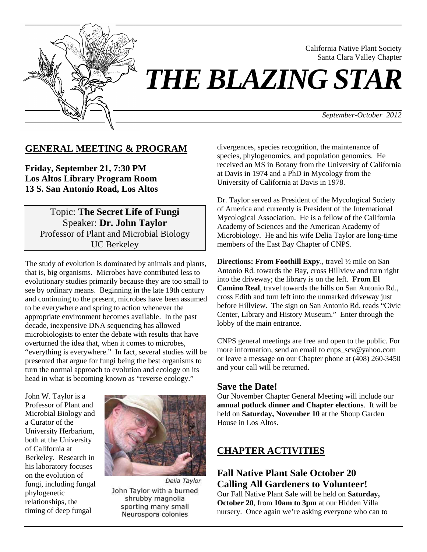

California Native Plant Society Santa Clara Valley Chapter

# *THE BLAZING STAR*

*September-October 2012*

### **GENERAL MEETING & PROGRAM**

**Friday, September 21, 7:30 PM Los Altos Library Program Room 13 S. San Antonio Road, Los Altos**

> Topic: **The Secret Life of Fungi** Speaker: **Dr. John Taylor** Professor of Plant and Microbial Biology UC Berkeley

The study of evolution is dominated by animals and plants, that is, big organisms. Microbes have contributed less to evolutionary studies primarily because they are too small to see by ordinary means. Beginning in the late 19th century and continuing to the present, microbes have been assumed to be everywhere and spring to action whenever the appropriate environment becomes available. In the past decade, inexpensive DNA sequencing has allowed microbiologists to enter the debate with results that have overturned the idea that, when it comes to microbes, "everything is everywhere." In fact, several studies will be presented that argue for fungi being the best organisms to turn the normal approach to evolution and ecology on its head in what is becoming known as "reverse ecology."

John W. Taylor is a Professor of Plant and Microbial Biology and a Curator of the University Herbarium, both at the University of California at Berkeley. Research in his laboratory focuses on the evolution of fungi, including fungal phylogenetic relationships, the timing of deep fungal



Delia Taylor John Taylor with a burned shrubby magnolia sporting many small Neurospora colonies

divergences, species recognition, the maintenance of species, phylogenomics, and population genomics. He received an MS in Botany from the University of California at Davis in 1974 and a PhD in Mycology from the University of California at Davis in 1978.

Dr. Taylor served as President of the Mycological Society of America and currently is President of the International Mycological Association. He is a fellow of the California Academy of Sciences and the American Academy of Microbiology. He and his wife Delia Taylor are long-time members of the East Bay Chapter of CNPS.

**Directions: From Foothill Expy**., travel ½ mile on San Antonio Rd. towards the Bay, cross Hillview and turn right into the driveway; the library is on the left. **From El Camino Real**, travel towards the hills on San Antonio Rd., cross Edith and turn left into the unmarked driveway just before Hillview. The sign on San Antonio Rd. reads "Civic Center, Library and History Museum." Enter through the lobby of the main entrance.

CNPS general meetings are free and open to the public. For more information, send an email to cnps\_scv@yahoo.com or leave a message on our Chapter phone at (408) 260-3450 and your call will be returned.

### **Save the Date!**

Our November Chapter General Meeting will include our **annual potluck dinner and Chapter elections**. It will be held on **Saturday, November 10** at the Shoup Garden House in Los Altos.

### **CHAPTER ACTIVITIES**

## **Fall Native Plant Sale October 20 Calling All Gardeners to Volunteer!**

Our Fall Native Plant Sale will be held on **Saturday, October 20**, from **10am to 3pm** at our Hidden Villa nursery. Once again we're asking everyone who can to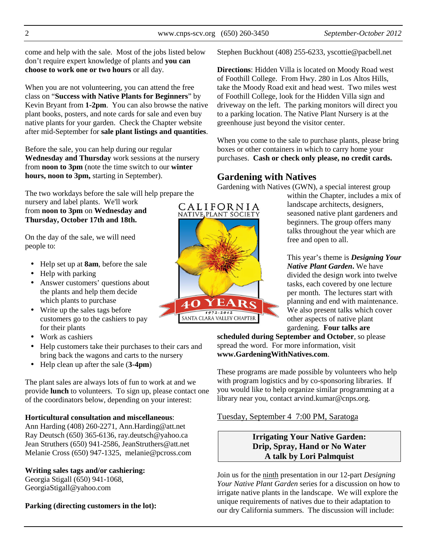come and help with the sale. Most of the jobs listed below don't require expert knowledge of plants and **you can choose to work one or two hours** or all day.

When you are not volunteering, you can attend the free class on "**Success with Native Plants for Beginners**" by Kevin Bryant from **1-2pm**. You can also browse the native plant books, posters, and note cards for sale and even buy native plants for your garden. Check the Chapter website after mid-September for **sale plant listings and quantities**.

Before the sale, you can help during our regular **Wednesday and Thursday** work sessions at the nursery from **noon to 3pm** (note the time switch to our **winter hours, noon to 3pm,** starting in September).

The two workdays before the sale will help prepare the

nursery and label plants. We'll work from **noon to 3pm** on **Wednesday and Thursday, October 17th and 18th.**

On the day of the sale, we will need people to:

- Help set up at **8am**, before the sale
- Help with parking
- Answer customers' questions about the plants and help them decide which plants to purchase
- Write up the sales tags before customers go to the cashiers to pay for their plants
- Work as cashiers
- Help customers take their purchases to their cars and bring back the wagons and carts to the nursery
- Help clean up after the sale (**3-4pm**)

The plant sales are always lots of fun to work at and we provide **lunch** to volunteers. To sign up, please contact one of the coordinators below, depending on your interest:

### **Horticultural consultation and miscellaneous**:

Ann Harding (408) 260-2271, Ann.Harding@att.net Ray Deutsch (650) 365-6136, ray.deutsch@yahoo.ca Jean Struthers (650) 941-2586, JeanStruthers@att.net Melanie Cross (650) 947-1325, melanie@pcross.com

### **Writing sales tags and/or cashiering:**

Georgia Stigall (650) 941-1068, GeorgiaStigall@yahoo.com

**Parking (directing customers in the lot):** 

Stephen Buckhout (408) 255-6233, yscottie@pacbell.net

**Directions**: Hidden Villa is located on Moody Road west of Foothill College. From Hwy. 280 in Los Altos Hills, take the Moody Road exit and head west. Two miles west of Foothill College, look for the Hidden Villa sign and driveway on the left. The parking monitors will direct you to a parking location. The Native Plant Nursery is at the greenhouse just beyond the visitor center.

When you come to the sale to purchase plants, please bring boxes or other containers in which to carry home your purchases. **Cash or check only please, no credit cards.** 

### **Gardening with Natives**

Gardening with Natives (GWN), a special interest group

within the Chapter, includes a mix of landscape architects, designers, seasoned native plant gardeners and beginners. The group offers many talks throughout the year which are free and open to all.

This year's theme is *Designing Your Native Plant Garden***.** We have divided the design work into twelve tasks, each covered by one lecture per month. The lectures start with planning and end with maintenance. We also present talks which cover other aspects of native plant gardening. **Four talks are** 

**scheduled during September and October**, so please spread the word. For more information, visit **www.GardeningWithNatives.com**.

These programs are made possible by volunteers who help with program logistics and by co-sponsoring libraries. If you would like to help organize similar programming at a library near you, contact arvind.kumar@cnps.org.

Tuesday, September 4 7:00 PM, Saratoga

### **Irrigating Your Native Garden: Drip, Spray, Hand or No Water A talk by Lori Palmquist**

Join us for the ninth presentation in our 12-part *Designing Your Native Plant Garden* series for a discussion on how to irrigate native plants in the landscape. We will explore the unique requirements of natives due to their adaptation to our dry California summers. The discussion will include:

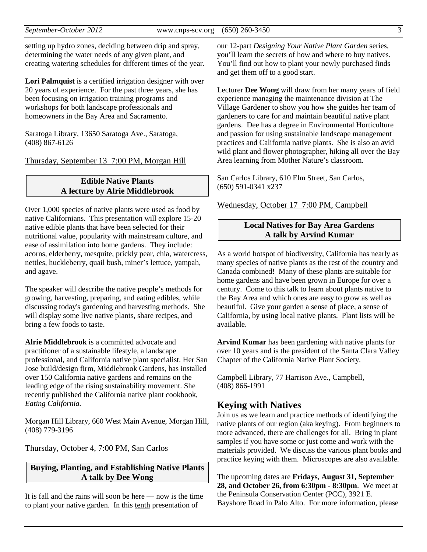*September-October 2012* www.cnps-scv.org (650) 260-3450 3

setting up hydro zones, deciding between drip and spray, determining the water needs of any given plant, and creating watering schedules for different times of the year.

Lori Palmquist is a certified irrigation designer with over 20 years of experience. For the past three years, she has been focusing on irrigation training programs and workshops for both landscape professionals and homeowners in the Bay Area and Sacramento.

Saratoga Library, 13650 Saratoga Ave., Saratoga, (408) 867-6126

Thursday, September 13 7:00 PM, Morgan Hill

### **Edible Native Plants A lecture by Alrie Middlebrook**

Over 1,000 species of native plants were used as food by native Californians. This presentation will explore 15-20 native edible plants that have been selected for their nutritional value, popularity with mainstream culture, and ease of assimilation into home gardens. They include: acorns, elderberry, mesquite, prickly pear, chia, watercress, nettles, huckleberry, quail bush, miner's lettuce, yampah, and agave.

The speaker will describe the native people's methods for growing, harvesting, preparing, and eating edibles, while discussing today's gardening and harvesting methods. She will display some live native plants, share recipes, and bring a few foods to taste.

**Alrie Middlebrook** is a committed advocate and practitioner of a sustainable lifestyle, a landscape professional, and California native plant specialist. Her San Jose build/design firm, Middlebrook Gardens, has installed over 150 California native gardens and remains on the leading edge of the rising sustainability movement. She recently published the California native plant cookbook, *Eating California.*

Morgan Hill Library, 660 West Main Avenue, Morgan Hill, (408) 779-3196

Thursday, October 4, 7:00 PM, San Carlos

### **Buying, Planting, and Establishing Native Plants A talk by Dee Wong**

It is fall and the rains will soon be here — now is the time to plant your native garden. In this tenth presentation of

our 12-part *Designing Your Native Plant Garden* series, you'll learn the secrets of how and where to buy natives. You'll find out how to plant your newly purchased finds and get them off to a good start.

Lecturer **Dee Wong** will draw from her many years of field experience managing the maintenance division at The Village Gardener to show you how she guides her team of gardeners to care for and maintain beautiful native plant gardens. Dee has a degree in Environmental Horticulture and passion for using sustainable landscape management practices and California native plants. She is also an avid wild plant and flower photographer, hiking all over the Bay Area learning from Mother Nature's classroom.

San Carlos Library, 610 Elm Street, San Carlos, (650) 591-0341 x237

Wednesday, October 17 7:00 PM, Campbell

### **Local Natives for Bay Area Gardens A talk by Arvind Kumar**

As a world hotspot of biodiversity, California has nearly as many species of native plants as the rest of the country and Canada combined! Many of these plants are suitable for home gardens and have been grown in Europe for over a century. Come to this talk to learn about plants native to the Bay Area and which ones are easy to grow as well as beautiful. Give your garden a sense of place, a sense of California, by using local native plants. Plant lists will be available.

**Arvind Kumar** has been gardening with native plants for over 10 years and is the president of the Santa Clara Valley Chapter of the California Native Plant Society.

Campbell Library, 77 Harrison Ave., Campbell, (408) 866-1991

### **Keying with Natives**

Join us as we learn and practice methods of identifying the native plants of our region (aka keying). From beginners to more advanced, there are challenges for all. Bring in plant samples if you have some or just come and work with the materials provided. We discuss the various plant books and practice keying with them. Microscopes are also available.

The upcoming dates are **Fridays**, **August 31, September 28, and October 26, from 6:30pm - 8:30pm**. We meet at the Peninsula Conservation Center (PCC), 3921 E. Bayshore Road in Palo Alto. For more information, please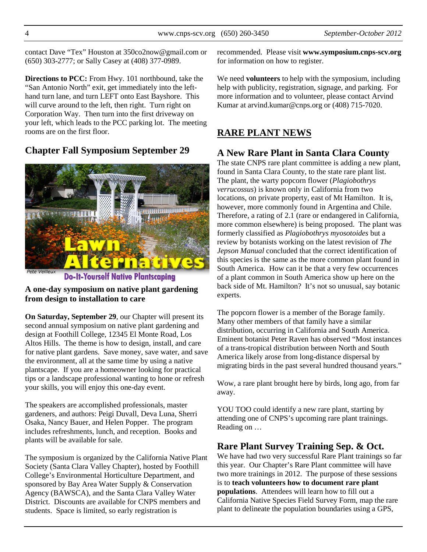contact Dave "Tex" Houston at 350co2now@gmail.com or (650) 303-2777; or Sally Casey at (408) 377-0989.

**Directions to PCC:** From Hwy. 101 northbound, take the "San Antonio North" exit, get immediately into the lefthand turn lane, and turn LEFT onto East Bayshore. This will curve around to the left, then right. Turn right on Corporation Way. Then turn into the first driveway on your left, which leads to the PCC parking lot. The meeting rooms are on the first floor.

### **Chapter Fall Symposium September 29**



**Do-It-Yourself Native Plantscaping** 

### **A one-day symposium on native plant gardening from design to installation to care**

**On Saturday, September 29**, our Chapter will present its second annual symposium on native plant gardening and design at Foothill College, 12345 El Monte Road, Los Altos Hills. The theme is how to design, install, and care for native plant gardens. Save money, save water, and save the environment, all at the same time by using a native plantscape. If you are a homeowner looking for practical tips or a landscape professional wanting to hone or refresh your skills, you will enjoy this one-day event.

The speakers are accomplished professionals, master gardeners, and authors: Peigi Duvall, Deva Luna, Sherri Osaka, Nancy Bauer, and Helen Popper. The program includes refreshments, lunch, and reception. Books and plants will be available for sale.

The symposium is organized by the California Native Plant Society (Santa Clara Valley Chapter), hosted by Foothill College's Environmental Horticulture Department, and sponsored by Bay Area Water Supply & Conservation Agency (BAWSCA), and the Santa Clara Valley Water District. Discounts are available for CNPS members and students. Space is limited, so early registration is

recommended. Please visit **www.symposium.cnps-scv.org** for information on how to register.

We need **volunteers** to help with the symposium, including help with publicity, registration, signage, and parking. For more information and to volunteer, please contact Arvind Kumar at arvind.kumar@cnps.org or (408) 715-7020.

## **RARE PLANT NEWS**

### **A New Rare Plant in Santa Clara County**

The state CNPS rare plant committee is adding a new plant, found in Santa Clara County, to the state rare plant list. The plant, the warty popcorn flower (*Plagiobothrys verrucossus*) is known only in California from two locations, on private property, east of Mt Hamilton. It is, however, more commonly found in Argentina and Chile. Therefore, a rating of 2.1 (rare or endangered in California, more common elsewhere) is being proposed. The plant was formerly classified as *Plagiobothrys myosotoides* but a review by botanists working on the latest revision of *The Jepson Manual* concluded that the correct identification of this species is the same as the more common plant found in South America. How can it be that a very few occurrences of a plant common in South America show up here on the back side of Mt. Hamilton? It's not so unusual, say botanic experts.

The popcorn flower is a member of the Borage family. Many other members of that family have a similar distribution, occurring in California and South America. Eminent botanist Peter Raven has observed "Most instances of a trans-tropical distribution between North and South America likely arose from long-distance dispersal by migrating birds in the past several hundred thousand years."

Wow, a rare plant brought here by birds, long ago, from far away.

YOU TOO could identify a new rare plant, starting by attending one of CNPS's upcoming rare plant trainings. Reading on …

### **Rare Plant Survey Training Sep. & Oct.**

We have had two very successful Rare Plant trainings so far this year. Our Chapter's Rare Plant committee will have two more trainings in 2012. The purpose of these sessions is to **teach volunteers how to document rare plant populations**. Attendees will learn how to fill out a California Native Species Field Survey Form, map the rare plant to delineate the population boundaries using a GPS,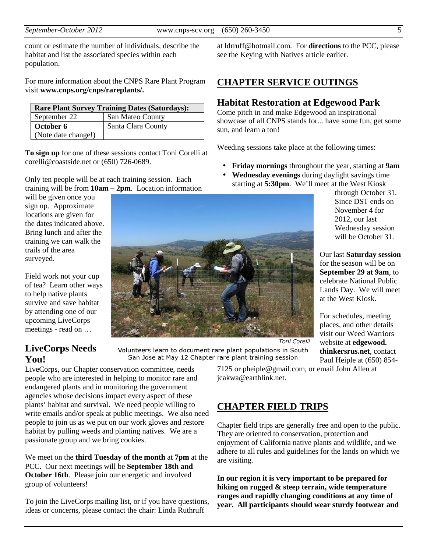count or estimate the number of individuals, describe the habitat and list the associated species within each population.

For more information about the CNPS Rare Plant Program visit **www.cnps.org/cnps/rareplants/.**

| <b>Rare Plant Survey Training Dates (Saturdays):</b> |                    |  |  |
|------------------------------------------------------|--------------------|--|--|
| September 22                                         | San Mateo County   |  |  |
| October 6                                            | Santa Clara County |  |  |
| (Note date change!)                                  |                    |  |  |

**To sign up** for one of these sessions contact Toni Corelli at corelli@coastside.net or (650) 726-0689.

Only ten people will be at each training session. Each training will be from **10am – 2pm**. Location information

will be given once you sign up. Approximate locations are given for the dates indicated above. Bring lunch and after the training we can walk the trails of the area surveyed.

Field work not your cup of tea? Learn other ways to help native plants survive and save habitat by attending one of our upcoming LiveCorps meetings - read on …

# Toni Corelli

### **LiveCorps Needs You!**

LiveCorps, our Chapter conservation committee, needs people who are interested in helping to monitor rare and endangered plants and in monitoring the government agencies whose decisions impact every aspect of these plants' habitat and survival. We need people willing to write emails and/or speak at public meetings. We also need people to join us as we put on our work gloves and restore habitat by pulling weeds and planting natives. We are a passionate group and we bring cookies.

We meet on the **third Tuesday of the month** at **7pm** at the PCC. Our next meetings will be **September 18th and October 16th**. Please join our energetic and involved group of volunteers!

To join the LiveCorps mailing list, or if you have questions, ideas or concerns, please contact the chair: Linda Ruthruff

at ldrruff@hotmail.com. For **directions** to the PCC, please see the Keying with Natives article earlier.

### **CHAPTER SERVICE OUTINGS**

### **Habitat Restoration at Edgewood Park**

Come pitch in and make Edgewood an inspirational showcase of all CNPS stands for... have some fun, get some sun, and learn a ton!

Weeding sessions take place at the following times:

- **Friday mornings** throughout the year, starting at **9am**
- **Wednesday evenings** during daylight savings time starting at **5:30pm**. We'll meet at the West Kiosk

through October 31. Since DST ends on November 4 for 2012, our last Wednesday session will be October 31.

Our last **Saturday session** for the season will be on **September 29 at 9am**, to celebrate National Public Lands Day. We will meet at the West Kiosk.

For schedules, meeting places, and other details visit our Weed Warriors website at **edgewood. thinkersrus.net**, contact Paul Heiple at (650) 854-

Volunteers learn to document rare plant populations in South San Jose at May 12 Chapter rare plant training session

> 7125 or pheiple@gmail.com, or email John Allen at jcakwa@earthlink.net.

### **CHAPTER FIELD TRIPS**

Chapter field trips are generally free and open to the public. They are oriented to conservation, protection and enjoyment of California native plants and wildlife, and we adhere to all rules and guidelines for the lands on which we are visiting.

**In our region it is very important to be prepared for hiking on rugged & steep terrain, wide temperature ranges and rapidly changing conditions at any time of year. All participants should wear sturdy footwear and** 

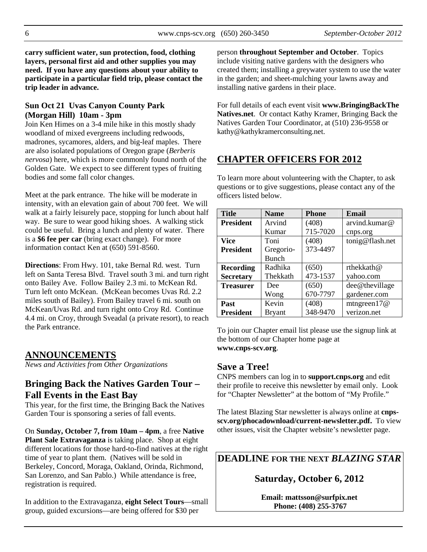**carry sufficient water, sun protection, food, clothing layers, personal first aid and other supplies you may need. If you have any questions about your ability to participate in a particular field trip, please contact the trip leader in advance.** 

### **Sun Oct 21 Uvas Canyon County Park (Morgan Hill) 10am - 3pm**

Join Ken Himes on a 3-4 mile hike in this mostly shady woodland of mixed evergreens including redwoods, madrones, sycamores, alders, and big-leaf maples. There are also isolated populations of Oregon grape (*Berberis nervosa*) here, which is more commonly found north of the Golden Gate. We expect to see different types of fruiting bodies and some fall color changes.

Meet at the park entrance. The hike will be moderate in intensity, with an elevation gain of about 700 feet. We will walk at a fairly leisurely pace, stopping for lunch about half way. Be sure to wear good hiking shoes. A walking stick could be useful. Bring a lunch and plenty of water. There is a **\$6 fee per car** (bring exact change). For more information contact Ken at (650) 591-8560.

**Directions**: From Hwy. 101, take Bernal Rd. west. Turn left on Santa Teresa Blvd. Travel south 3 mi. and turn right onto Bailey Ave. Follow Bailey 2.3 mi. to McKean Rd. Turn left onto McKean. (McKean becomes Uvas Rd. 2.2 miles south of Bailey). From Bailey travel 6 mi. south on McKean/Uvas Rd. and turn right onto Croy Rd. Continue 4.4 mi. on Croy, through Sveadal (a private resort), to reach the Park entrance.

### **ANNOUNCEMENTS**

*News and Activities from Other Organizations*

### **Bringing Back the Natives Garden Tour – Fall Events in the East Bay**

This year, for the first time, the Bringing Back the Natives Garden Tour is sponsoring a series of fall events.

On **Sunday, October 7, from 10am – 4pm**, a free **Native Plant Sale Extravaganza** is taking place. Shop at eight different locations for those hard-to-find natives at the right time of year to plant them. (Natives will be sold in Berkeley, Concord, Moraga, Oakland, Orinda, Richmond, San Lorenzo, and San Pablo.) While attendance is free, registration is required.

In addition to the Extravaganza, **eight Select Tours**—small group, guided excursions—are being offered for \$30 per

person **throughout September and October**. Topics include visiting native gardens with the designers who created them; installing a greywater system to use the water in the garden; and sheet-mulching your lawns away and installing native gardens in their place.

For full details of each event visit **www.BringingBackThe Natives.net**. Or contact Kathy Kramer, Bringing Back the Natives Garden Tour Coordinator, at (510) 236-9558 or kathy@kathykramerconsulting.net.

### **CHAPTER OFFICERS FOR 2012**

To learn more about volunteering with the Chapter, to ask questions or to give suggestions, please contact any of the officers listed below.

| <b>Title</b>     | <b>Name</b>   | <b>Phone</b> | <b>Email</b>    |  |
|------------------|---------------|--------------|-----------------|--|
| <b>President</b> | Arvind        | (408)        | arvind.kumar@   |  |
|                  | Kumar         | 715-7020     | cnps.org        |  |
| <b>Vice</b>      | Toni          | (408)        | tonig@flash.net |  |
| <b>President</b> | Gregorio-     | 373-4497     |                 |  |
|                  | Bunch         |              |                 |  |
| <b>Recording</b> | Radhika       | (650)        | rthekkath@      |  |
| <b>Secretary</b> | Thekkath      | 473-1537     | yahoo.com       |  |
| <b>Treasurer</b> | Dee           | (650)        | dee@thevillage  |  |
|                  | Wong          | 670-7797     | gardener.com    |  |
| Past             | Kevin         | (408)        | mtngreen $17@$  |  |
| <b>President</b> | <b>Bryant</b> | 348-9470     | verizon.net     |  |

To join our Chapter email list please use the signup link at the bottom of our Chapter home page at **www.cnps-scv.org**.

### **Save a Tree!**

CNPS members can log in to **support.cnps.org** and edit their profile to receive this newsletter by email only. Look for "Chapter Newsletter" at the bottom of "My Profile."

The latest Blazing Star newsletter is always online at **cnpsscv.org/phocadownload/current-newsletter.pdf.** To view other issues, visit the Chapter website's newsletter page.

**DEADLINE FOR THE NEXT** *BLAZING STAR* 

### **Saturday, October 6, 2012**

**Email: mattsson@surfpix.net Phone: (408) 255-3767**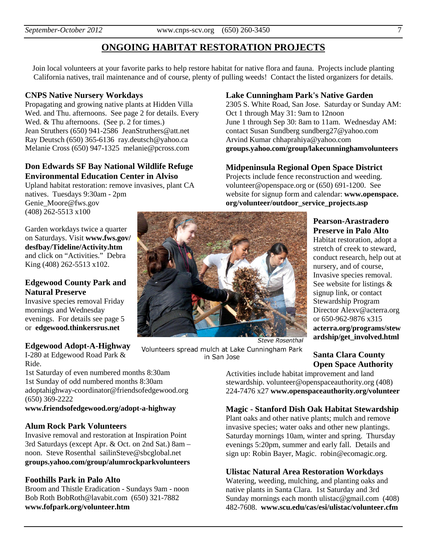### **ONGOING HABITAT RESTORATION PROJECTS**

Join local volunteers at your favorite parks to help restore habitat for native flora and fauna. Projects include planting California natives, trail maintenance and of course, plenty of pulling weeds! Contact the listed organizers for details.

### **CNPS Native Nursery Workdays**

Propagating and growing native plants at Hidden Villa Wed. and Thu. afternoons. See page 2 for details. Every Wed. & Thu afternoons. (See p. 2 for times.) Jean Struthers (650) 941-2586 JeanStruthers@att.net Ray Deutsch (650) 365-6136 ray.deutsch@yahoo.ca Melanie Cross (650) 947-1325 melanie@pcross.com

### **Don Edwards SF Bay National Wildlife Refuge Environmental Education Center in Alviso**

Upland habitat restoration: remove invasives, plant CA natives. Tuesdays 9:30am - 2pm Genie\_Moore@fws.gov (408) 262-5513 x100

Garden workdays twice a quarter on Saturdays. Visit **www.fws.gov/ desfbay/Tideline/Activity.htm** and click on "Activities." Debra King (408) 262-5513 x102.

### **Edgewood County Park and Natural Preserve**

Invasive species removal Friday mornings and Wednesday evenings. For details see page 5 or **edgewood.thinkersrus.net** 

### **Edgewood Adopt-A-Highway**

I-280 at Edgewood Road Park & Ride.

1st Saturday of even numbered months 8:30am 1st Sunday of odd numbered months 8:30am adoptahighway-coordinator@friendsofedgewood.org (650) 369-2222

### **www.friendsofedgewood.org/adopt-a-highway**

### **Alum Rock Park Volunteers**

Invasive removal and restoration at Inspiration Point 3rd Saturdays (except Apr. & Oct. on 2nd Sat.) 8am – noon. Steve Rosenthal sailinSteve@sbcglobal.net **groups.yahoo.com/group/alumrockparkvolunteers** 

### **Foothills Park in Palo Alto**

Broom and Thistle Eradication - Sundays 9am - noon Bob Roth BobRoth@lavabit.com (650) 321-7882 **www.fofpark.org/volunteer.htm** 

### **Lake Cunningham Park's Native Garden**

2305 S. White Road, San Jose. Saturday or Sunday AM: Oct 1 through May 31: 9am to 12noon June 1 through Sep 30: 8am to 11am. Wednesday AM: contact Susan Sundberg sundberg27@yahoo.com Arvind Kumar chhaprahiya@yahoo.com **groups.yahoo.com/group/lakecunninghamvolunteers** 

### **Midpeninsula Regional Open Space District**

Projects include fence reconstruction and weeding. volunteer@openspace.org or (650) 691-1200. See website for signup form and calendar: **www.openspace. org/volunteer/outdoor\_service\_projects.asp** 

### **Pearson-Arastradero Preserve in Palo Alto**

Habitat restoration, adopt a stretch of creek to steward, conduct research, help out at nursery, and of course, Invasive species removal. See website for listings & signup link, or contact Stewardship Program Director Alexv@acterra.org or 650-962-9876 x315 **acterra.org/programs/stew ardship/get\_involved.html** 

in San Jose

**Santa Clara County Open Space Authority** 

Activities include habitat improvement and land stewardship. volunteer@openspaceauthority.org (408) 224-7476 x27 **www.openspaceauthority.org/volunteer** 

### **Magic - Stanford Dish Oak Habitat Stewardship**

Plant oaks and other native plants; mulch and remove invasive species; water oaks and other new plantings. Saturday mornings 10am, winter and spring. Thursday evenings 5:20pm, summer and early fall. Details and sign up: Robin Bayer, Magic. robin@ecomagic.org.

### **Ulistac Natural Area Restoration Workdays**

Watering, weeding, mulching, and planting oaks and native plants in Santa Clara. 1st Saturday and 3rd Sunday mornings each month ulistac@gmail.com (408) 482-7608. **www.scu.edu/cas/esi/ulistac/volunteer.cfm**

**Steve Rosenthal** 

Volunteers spread mulch at Lake Cunningham Park